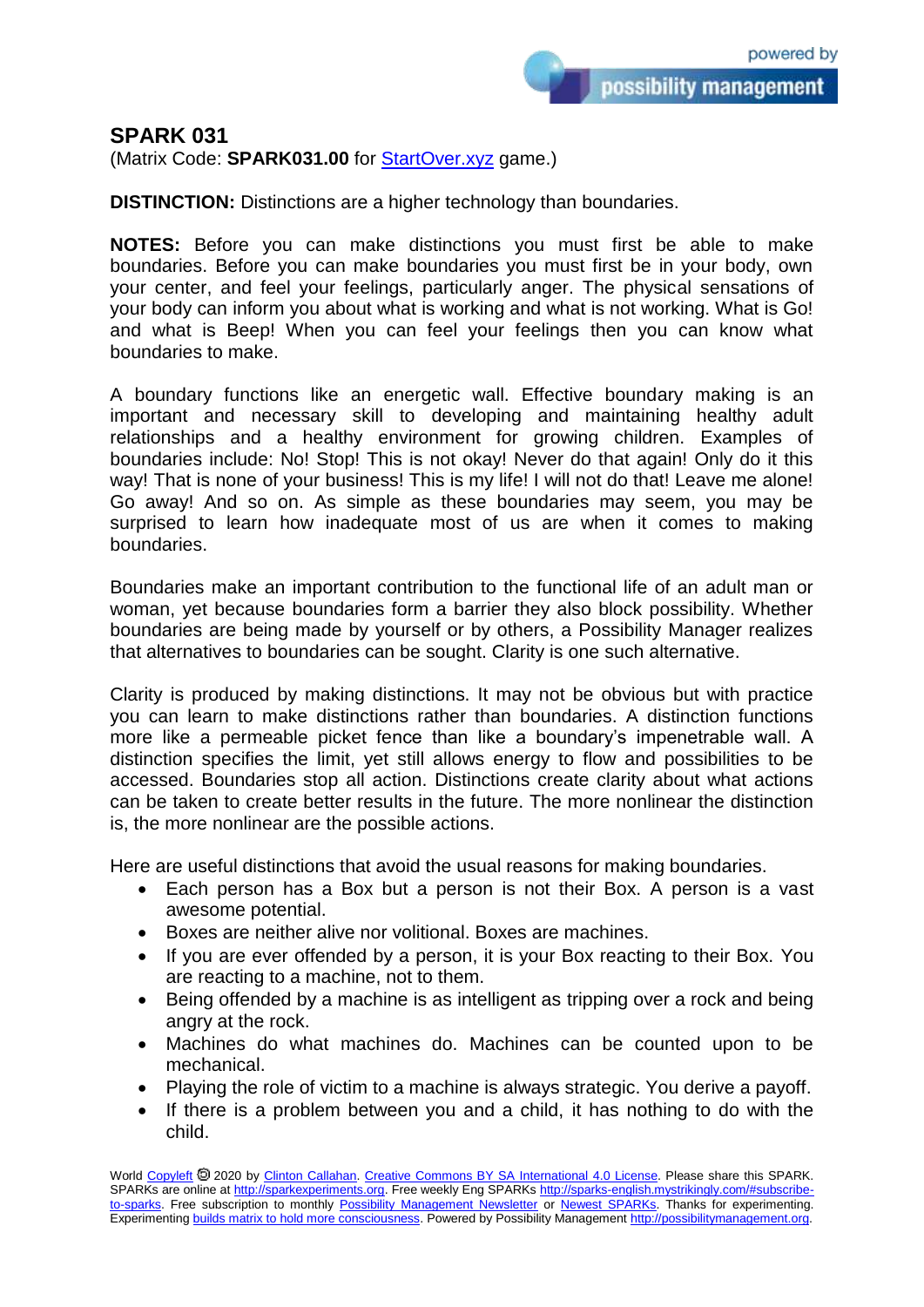## **SPARK 031**

(Matrix Code: **SPARK031.00** for **StartOver.xyz** game.)

**DISTINCTION:** Distinctions are a higher technology than boundaries.

**NOTES:** Before you can make distinctions you must first be able to make boundaries. Before you can make boundaries you must first be in your body, own your center, and feel your feelings, particularly anger. The physical sensations of your body can inform you about what is working and what is not working. What is Go! and what is Beep! When you can feel your feelings then you can know what boundaries to make.

A boundary functions like an energetic wall. Effective boundary making is an important and necessary skill to developing and maintaining healthy adult relationships and a healthy environment for growing children. Examples of boundaries include: No! Stop! This is not okay! Never do that again! Only do it this way! That is none of your business! This is my life! I will not do that! Leave me alone! Go away! And so on. As simple as these boundaries may seem, you may be surprised to learn how inadequate most of us are when it comes to making boundaries.

Boundaries make an important contribution to the functional life of an adult man or woman, yet because boundaries form a barrier they also block possibility. Whether boundaries are being made by yourself or by others, a Possibility Manager realizes that alternatives to boundaries can be sought. Clarity is one such alternative.

Clarity is produced by making distinctions. It may not be obvious but with practice you can learn to make distinctions rather than boundaries. A distinction functions more like a permeable picket fence than like a boundary's impenetrable wall. A distinction specifies the limit, yet still allows energy to flow and possibilities to be accessed. Boundaries stop all action. Distinctions create clarity about what actions can be taken to create better results in the future. The more nonlinear the distinction is, the more nonlinear are the possible actions.

Here are useful distinctions that avoid the usual reasons for making boundaries.

- Each person has a Box but a person is not their Box. A person is a vast awesome potential.
- Boxes are neither alive nor volitional. Boxes are machines.
- If you are ever offended by a person, it is your Box reacting to their Box. You are reacting to a machine, not to them.
- Being offended by a machine is as intelligent as tripping over a rock and being angry at the rock.
- Machines do what machines do. Machines can be counted upon to be mechanical.
- Playing the role of victim to a machine is always strategic. You derive a payoff.
- If there is a problem between you and a child, it has nothing to do with the child.